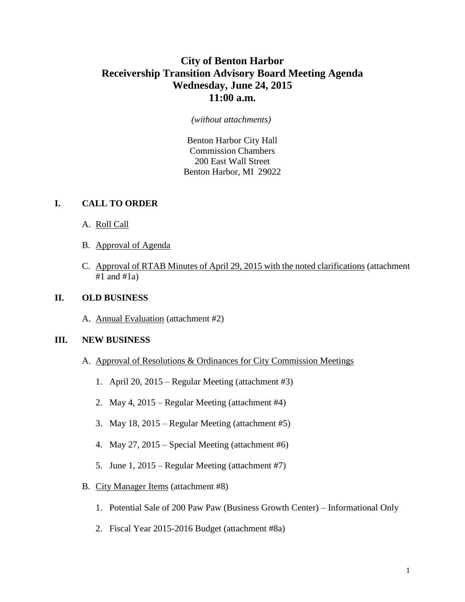# **City of Benton Harbor Receivership Transition Advisory Board Meeting Agenda Wednesday, June 24, 2015 11:00 a.m.**

#### *(without attachments)*

Benton Harbor City Hall Commission Chambers 200 East Wall Street Benton Harbor, MI 29022

### **I. CALL TO ORDER**

- A. Roll Call
- B. Approval of Agenda
- C. Approval of RTAB Minutes of April 29, 2015 with the noted clarifications (attachment  $#1$  and  $#1a$ )

#### **II. OLD BUSINESS**

A. Annual Evaluation (attachment #2)

#### **III. NEW BUSINESS**

- A. Approval of Resolutions & Ordinances for City Commission Meetings
	- 1. April 20, 2015 Regular Meeting (attachment #3)
	- 2. May 4, 2015 Regular Meeting (attachment #4)
	- 3. May 18, 2015 Regular Meeting (attachment #5)
	- 4. May 27, 2015 Special Meeting (attachment #6)
	- 5. June 1, 2015 Regular Meeting (attachment #7)
- B. City Manager Items (attachment #8)
	- 1. Potential Sale of 200 Paw Paw (Business Growth Center) Informational Only
	- 2. Fiscal Year 2015-2016 Budget (attachment #8a)